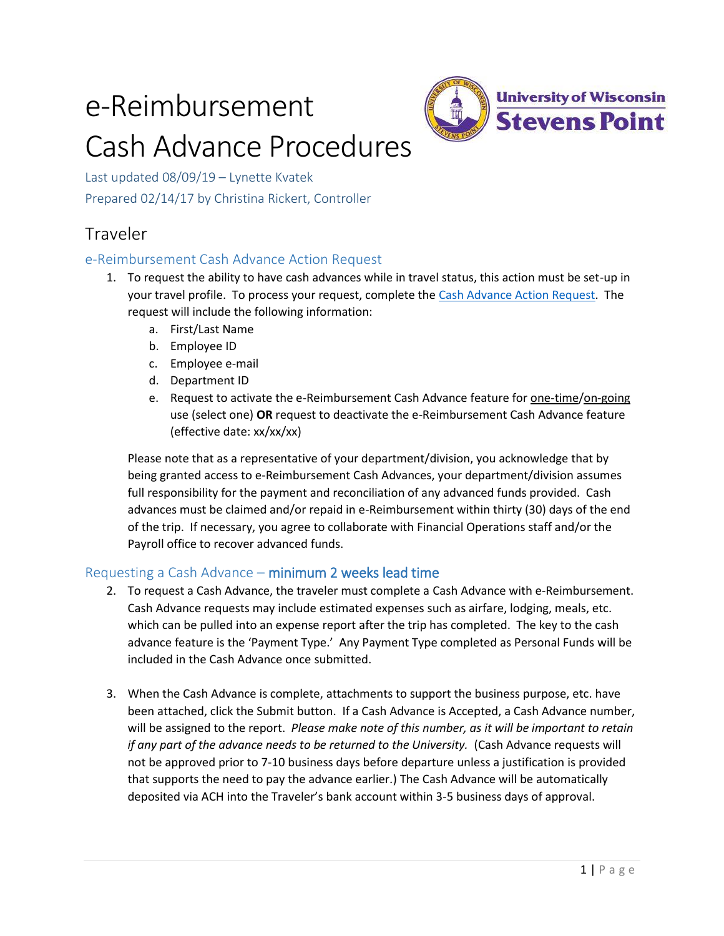# e-Reimbursement Cash Advance Procedures



Last updated 08/09/19 – Lynette Kvatek Prepared 02/14/17 by Christina Rickert, Controller

## Traveler

## e-Reimbursement Cash Advance Action Request

- 1. To request the ability to have cash advances while in travel status, this action must be set-up in your travel profile. To process your request, complete the [Cash Advance Action Request.](https://uwsp.az1.qualtrics.com/SE/?SID=SV_4HqDdfNU3DhCExD) The request will include the following information:
	- a. First/Last Name
	- b. Employee ID
	- c. Employee e-mail
	- d. Department ID
	- e. Request to activate the e-Reimbursement Cash Advance feature for one-time/on-going use (select one) **OR** request to deactivate the e-Reimbursement Cash Advance feature (effective date: xx/xx/xx)

Please note that as a representative of your department/division, you acknowledge that by being granted access to e-Reimbursement Cash Advances, your department/division assumes full responsibility for the payment and reconciliation of any advanced funds provided. Cash advances must be claimed and/or repaid in e-Reimbursement within thirty (30) days of the end of the trip. If necessary, you agree to collaborate with Financial Operations staff and/or the Payroll office to recover advanced funds.

## Requesting a Cash Advance – minimum 2 weeks lead time

- 2. To request a Cash Advance, the traveler must complete a Cash Advance with e-Reimbursement. Cash Advance requests may include estimated expenses such as airfare, lodging, meals, etc. which can be pulled into an expense report after the trip has completed. The key to the cash advance feature is the 'Payment Type.' Any Payment Type completed as Personal Funds will be included in the Cash Advance once submitted.
- 3. When the Cash Advance is complete, attachments to support the business purpose, etc. have been attached, click the Submit button. If a Cash Advance is Accepted, a Cash Advance number, will be assigned to the report. *Please make note of this number, as it will be important to retain if any part of the advance needs to be returned to the University.* (Cash Advance requests will not be approved prior to 7-10 business days before departure unless a justification is provided that supports the need to pay the advance earlier.) The Cash Advance will be automatically deposited via ACH into the Traveler's bank account within 3-5 business days of approval.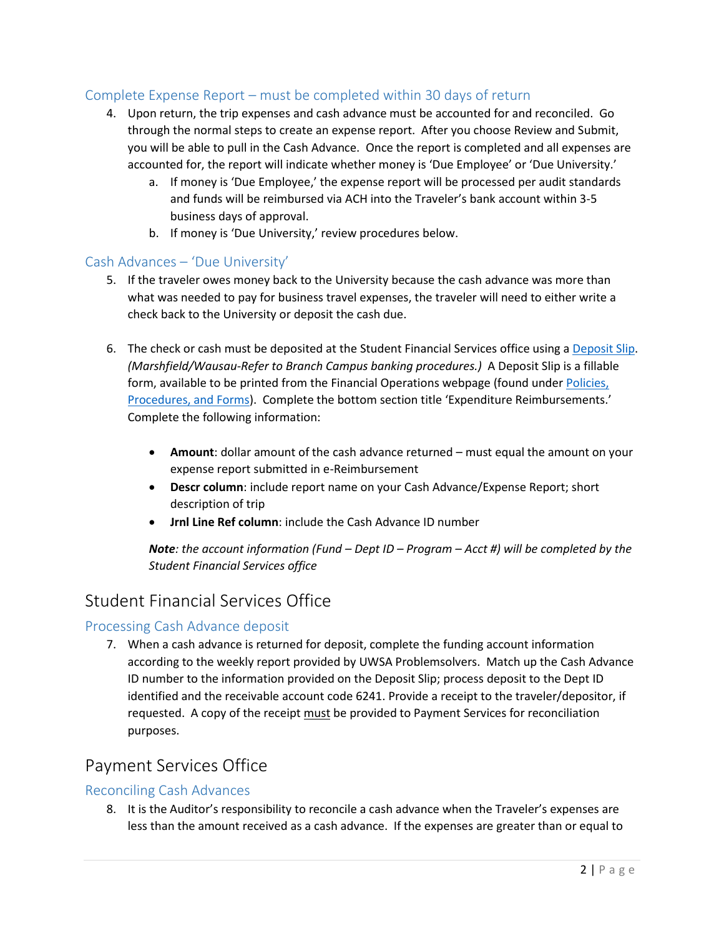## Complete Expense Report – must be completed within 30 days of return

- 4. Upon return, the trip expenses and cash advance must be accounted for and reconciled. Go through the normal steps to create an expense report. After you choose Review and Submit, you will be able to pull in the Cash Advance. Once the report is completed and all expenses are accounted for, the report will indicate whether money is 'Due Employee' or 'Due University.'
	- a. If money is 'Due Employee,' the expense report will be processed per audit standards and funds will be reimbursed via ACH into the Traveler's bank account within 3-5 business days of approval.
	- b. If money is 'Due University,' review procedures below.

## Cash Advances – 'Due University'

- 5. If the traveler owes money back to the University because the cash advance was more than what was needed to pay for business travel expenses, the traveler will need to either write a check back to the University or deposit the cash due.
- 6. The check or cash must be deposited at the Student Financial Services office using a [Deposit Slip.](http://www.uwsp.edu/bursar/Documents/DEPOSIT%20SLIP%201.xls) *(Marshfield/Wausau-Refer to Branch Campus banking procedures.)* A Deposit Slip is a fillable form, available to be printed from the Financial Operations webpage (found unde[r Policies,](http://www.uwsp.edu/bursar/Pages/Forms.aspx)  [Procedures, and Forms\)](http://www.uwsp.edu/bursar/Pages/Forms.aspx). Complete the bottom section title 'Expenditure Reimbursements.' Complete the following information:
	- **Amount**: dollar amount of the cash advance returned must equal the amount on your expense report submitted in e-Reimbursement
	- **Descr column**: include report name on your Cash Advance/Expense Report; short description of trip
	- **Jrnl Line Ref column**: include the Cash Advance ID number

*Note: the account information (Fund – Dept ID – Program – Acct #) will be completed by the Student Financial Services office*

## Student Financial Services Office

## Processing Cash Advance deposit

7. When a cash advance is returned for deposit, complete the funding account information according to the weekly report provided by UWSA Problemsolvers. Match up the Cash Advance ID number to the information provided on the Deposit Slip; process deposit to the Dept ID identified and the receivable account code 6241. Provide a receipt to the traveler/depositor, if requested. A copy of the receipt must be provided to Payment Services for reconciliation purposes.

## Payment Services Office

#### Reconciling Cash Advances

8. It is the Auditor's responsibility to reconcile a cash advance when the Traveler's expenses are less than the amount received as a cash advance. If the expenses are greater than or equal to